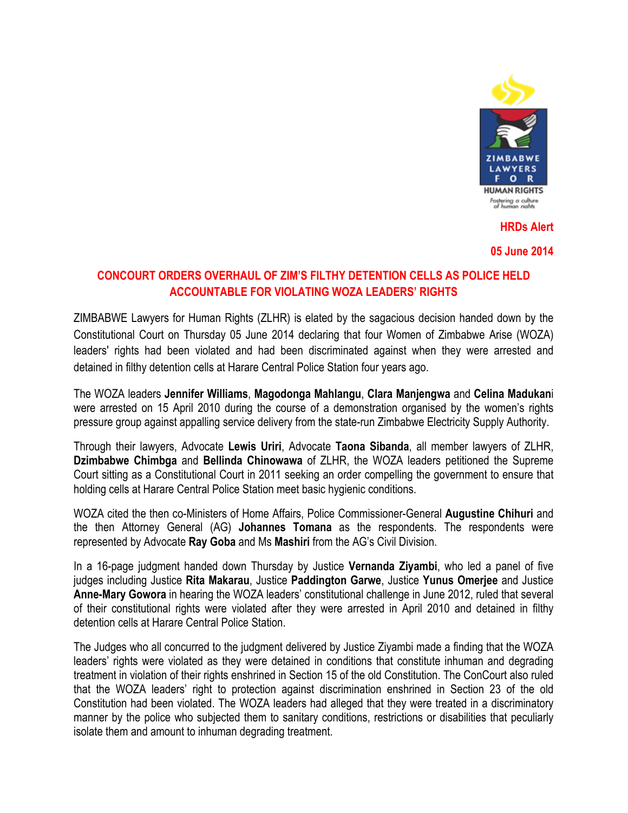

**HRDs Alert**

**05 June 2014**

## **CONCOURT ORDERS OVERHAUL OF ZIM'S FILTHY DETENTION CELLS AS POLICE HELD ACCOUNTABLE FOR VIOLATING WOZA LEADERS' RIGHTS**

ZIMBABWE Lawyers for Human Rights (ZLHR) is elated by the sagacious decision handed down by the Constitutional Court on Thursday 05 June 2014 declaring that four Women of Zimbabwe Arise (WOZA) leaders' rights had been violated and had been discriminated against when they were arrested and detained in filthy detention cells at Harare Central Police Station four years ago.

The WOZA leaders **Jennifer Williams**, **Magodonga Mahlangu**, **Clara Manjengwa** and **Celina Madukan**i were arrested on 15 April 2010 during the course of a demonstration organised by the women's rights pressure group against appalling service delivery from the state-run Zimbabwe Electricity Supply Authority.

Through their lawyers, Advocate **Lewis Uriri**, Advocate **Taona Sibanda**, all member lawyers of ZLHR, **Dzimbabwe Chimbga** and **Bellinda Chinowawa** of ZLHR, the WOZA leaders petitioned the Supreme Court sitting as a Constitutional Court in 2011 seeking an order compelling the government to ensure that holding cells at Harare Central Police Station meet basic hygienic conditions.

WOZA cited the then co-Ministers of Home Affairs, Police Commissioner-General **Augustine Chihuri** and the then Attorney General (AG) **Johannes Tomana** as the respondents. The respondents were represented by Advocate **Ray Goba** and Ms **Mashiri** from the AG's Civil Division.

In a 16-page judgment handed down Thursday by Justice **Vernanda Ziyambi**, who led a panel of five judges including Justice **Rita Makarau**, Justice **Paddington Garwe**, Justice **Yunus Omerjee** and Justice **Anne-Mary Gowora** in hearing the WOZA leaders' constitutional challenge in June 2012, ruled that several of their constitutional rights were violated after they were arrested in April 2010 and detained in filthy detention cells at Harare Central Police Station.

The Judges who all concurred to the judgment delivered by Justice Ziyambi made a finding that the WOZA leaders' rights were violated as they were detained in conditions that constitute inhuman and degrading treatment in violation of their rights enshrined in Section 15 of the old Constitution. The ConCourt also ruled that the WOZA leaders' right to protection against discrimination enshrined in Section 23 of the old Constitution had been violated. The WOZA leaders had alleged that they were treated in a discriminatory manner by the police who subjected them to sanitary conditions, restrictions or disabilities that peculiarly isolate them and amount to inhuman degrading treatment.